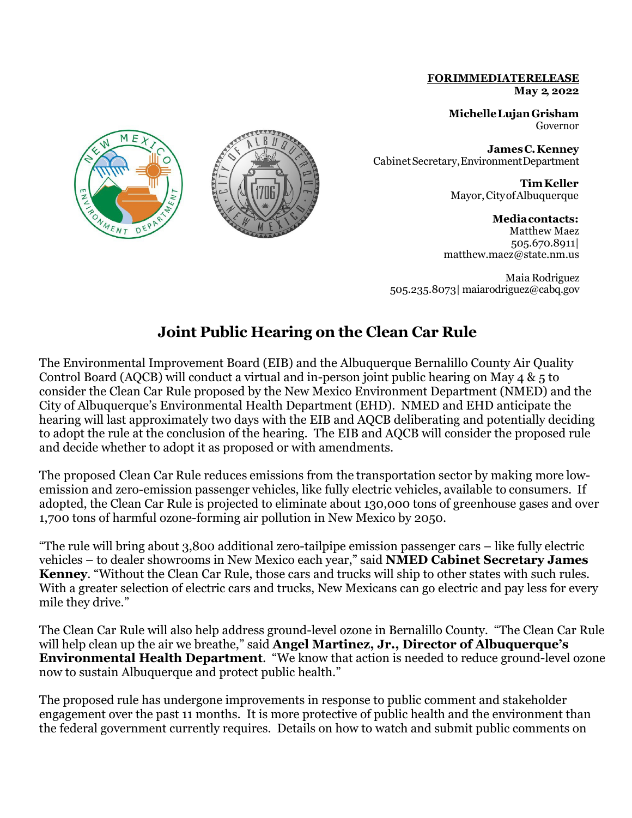## **FORIMMEDIATERELEASE May 2, 2022**

**MichelleLujanGrisham** Governor

**JamesC.Kenney** CabinetSecretary,EnvironmentDepartment

> **TimKeller** Mayor,CityofAlbuquerque

**Mediacontacts:** Matthew Maez 505.670.8911| matthew.maez@state.nm.us

Maia Rodriguez 505.235.8073| [maiarodriguez@cabq.gov](mailto:maiarodriguez@cabq.gov)

## **Joint Public Hearing on the Clean Car Rule**

The Environmental Improvement Board (EIB) and the Albuquerque Bernalillo County Air Quality Control Board (AQCB) will conduct a virtual and in-person joint public hearing on May 4 & 5 to consider the Clean Car Rule proposed by the New Mexico Environment Department (NMED) and the City of Albuquerque's Environmental Health Department (EHD). NMED and EHD anticipate the hearing will last approximately two days with the EIB and AQCB deliberating and potentially deciding to adopt the rule at the conclusion of the hearing. The EIB and AQCB will consider the proposed rule and decide whether to adopt it as proposed or with amendments.

The proposed Clean Car Rule reduces emissions from the transportation sector by making more lowemission and zero-emission passenger vehicles, like fully electric vehicles, available to consumers. If adopted, the Clean Car Rule is projected to eliminate about 130,000 tons of greenhouse gases and over 1,700 tons of harmful ozone-forming air pollution in New Mexico by 2050.

"The rule will bring about 3,800 additional zero-tailpipe emission passenger cars – like fully electric vehicles – to dealer showrooms in New Mexico each year," said **NMED Cabinet Secretary James Kenney**. "Without the Clean Car Rule, those cars and trucks will ship to other states with such rules. With a greater selection of electric cars and trucks, New Mexicans can go electric and pay less for every mile they drive."

The Clean Car Rule will also help address ground-level ozone in Bernalillo County. "The Clean Car Rule will help clean up the air we breathe," said **Angel Martinez, Jr., Director of Albuquerque's Environmental Health Department**. "We know that action is needed to reduce ground-level ozone now to sustain Albuquerque and protect public health."

The proposed rule has undergone improvements in response to public comment and stakeholder engagement over the past 11 months. It is more protective of public health and the environment than the federal government currently requires. Details on how to watch and submit public comments on



NMENT